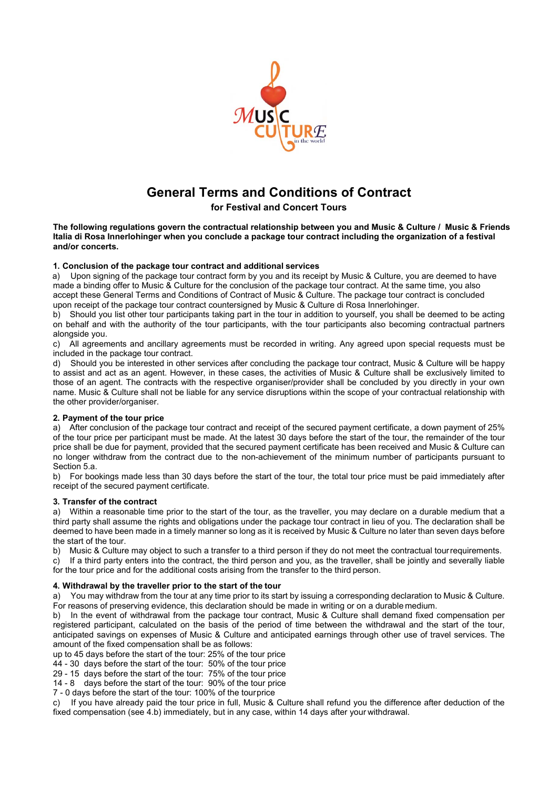

# **General Terms and Conditions of Contract**

## **for Festival and Concert Tours**

**The following regulations govern the contractual relationship between you and Music & Culture / Music & Friends Italia di Rosa Innerlohinger when you conclude a package tour contract including the organization of a festival and/or concerts.** 

## **1. Conclusion of the package tour contract and additional services**

a) Upon signing of the package tour contract form by you and its receipt by Music & Culture, you are deemed to have made a binding offer to Music & Culture for the conclusion of the package tour contract. At the same time, you also accept these General Terms and Conditions of Contract of Music & Culture. The package tour contract is concluded upon receipt of the package tour contract countersigned by Music & Culture di Rosa Innerlohinger.

b) Should you list other tour participants taking part in the tour in addition to yourself, you shall be deemed to be acting on behalf and with the authority of the tour participants, with the tour participants also becoming contractual partners alongside you.

c) All agreements and ancillary agreements must be recorded in writing. Any agreed upon special requests must be included in the package tour contract.

d) Should you be interested in other services after concluding the package tour contract, Music & Culture will be happy to assist and act as an agent. However, in these cases, the activities of Music & Culture shall be exclusively limited to those of an agent. The contracts with the respective organiser/provider shall be concluded by you directly in your own name. Music & Culture shall not be liable for any service disruptions within the scope of your contractual relationship with the other provider/organiser.

## **2. Payment of the tour price**

a) After conclusion of the package tour contract and receipt of the secured payment certificate, a down payment of 25% of the tour price per participant must be made. At the latest 30 days before the start of the tour, the remainder of the tour price shall be due for payment, provided that the secured payment certificate has been received and Music & Culture can no longer withdraw from the contract due to the non-achievement of the minimum number of participants pursuant to Section 5.a.

b) For bookings made less than 30 days before the start of the tour, the total tour price must be paid immediately after receipt of the secured payment certificate.

#### **3. Transfer of the contract**

a) Within a reasonable time prior to the start of the tour, as the traveller, you may declare on a durable medium that a third party shall assume the rights and obligations under the package tour contract in lieu of you. The declaration shall be deemed to have been made in a timely manner so long as it is received by Music & Culture no later than seven days before the start of the tour.

b) Music & Culture may object to such a transfer to a third person if they do not meet the contractual tour requirements.

c) If a third party enters into the contract, the third person and you, as the traveller, shall be jointly and severally liable for the tour price and for the additional costs arising from the transfer to the third person.

#### **4. Withdrawal by the traveller prior to the start of the tour**

a) You may withdraw from the tour at any time prior to its start by issuing a corresponding declaration to Music & Culture. For reasons of preserving evidence, this declaration should be made in writing or on a durable medium.

b) In the event of withdrawal from the package tour contract, Music & Culture shall demand fixed compensation per registered participant, calculated on the basis of the period of time between the withdrawal and the start of the tour, anticipated savings on expenses of Music & Culture and anticipated earnings through other use of travel services. The amount of the fixed compensation shall be as follows:

up to 45 days before the start of the tour: 25% of the tour price

44 - 30 days before the start of the tour: 50% of the tour price

29 - 15 days before the start of the tour: 75% of the tour price

14 - 8 days before the start of the tour: 90% of the tour price

7 - 0 days before the start of the tour: 100% of the tour price

c) If you have already paid the tour price in full, Music & Culture shall refund you the difference after deduction of the fixed compensation (see 4.b) immediately, but in any case, within 14 days after your withdrawal.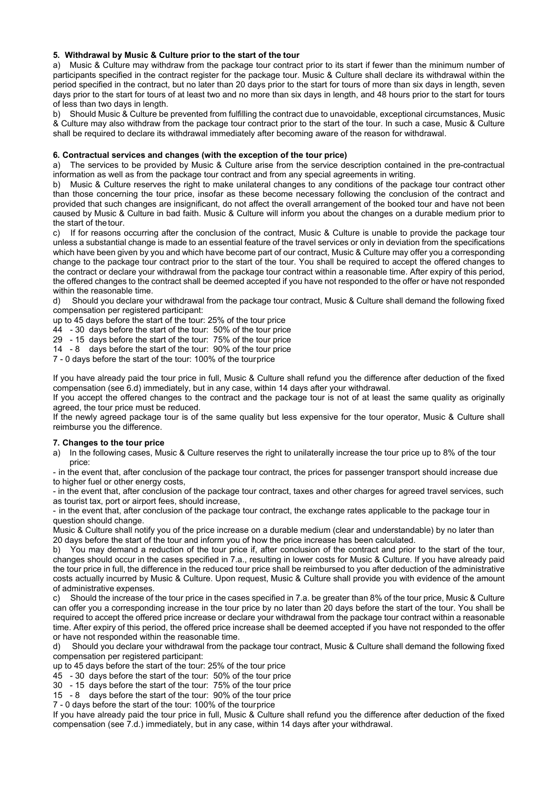## **5. Withdrawal by Music & Culture prior to the start of the tour**

a) Music & Culture may withdraw from the package tour contract prior to its start if fewer than the minimum number of participants specified in the contract register for the package tour. Music & Culture shall declare its withdrawal within the period specified in the contract, but no later than 20 days prior to the start for tours of more than six days in length, seven days prior to the start for tours of at least two and no more than six days in length, and 48 hours prior to the start for tours of less than two days in length.

b) Should Music & Culture be prevented from fulfilling the contract due to unavoidable, exceptional circumstances, Music & Culture may also withdraw from the package tour contract prior to the start of the tour. In such a case, Music & Culture shall be required to declare its withdrawal immediately after becoming aware of the reason for withdrawal.

#### **6. Contractual services and changes (with the exception of the tour price)**

a) The services to be provided by Music & Culture arise from the service description contained in the pre-contractual information as well as from the package tour contract and from any special agreements in writing.

b) Music & Culture reserves the right to make unilateral changes to any conditions of the package tour contract other than those concerning the tour price, insofar as these become necessary following the conclusion of the contract and provided that such changes are insignificant, do not affect the overall arrangement of the booked tour and have not been caused by Music & Culture in bad faith. Music & Culture will inform you about the changes on a durable medium prior to the start of the tour.

c) If for reasons occurring after the conclusion of the contract, Music & Culture is unable to provide the package tour unless a substantial change is made to an essential feature of the travel services or only in deviation from the specifications which have been given by you and which have become part of our contract. Music & Culture may offer you a corresponding change to the package tour contract prior to the start of the tour. You shall be required to accept the offered changes to the contract or declare your withdrawal from the package tour contract within a reasonable time. After expiry of this period, the offered changes to the contract shall be deemed accepted if you have not responded to the offer or have not responded within the reasonable time.

d) Should you declare your withdrawal from the package tour contract, Music & Culture shall demand the following fixed compensation per registered participant:

up to 45 days before the start of the tour: 25% of the tour price

44 - 30 days before the start of the tour: 50% of the tour price

29 - 15 days before the start of the tour: 75% of the tour price

14 - 8 days before the start of the tour: 90% of the tour price

7 - 0 days before the start of the tour: 100% of the tour price

If you have already paid the tour price in full, Music & Culture shall refund you the difference after deduction of the fixed compensation (see 6.d) immediately, but in any case, within 14 days after your withdrawal.

If you accept the offered changes to the contract and the package tour is not of at least the same quality as originally agreed, the tour price must be reduced.

If the newly agreed package tour is of the same quality but less expensive for the tour operator, Music & Culture shall reimburse you the difference.

#### **7. Changes to the tour price**

a) In the following cases, Music & Culture reserves the right to unilaterally increase the tour price up to 8% of the tour price:

- in the event that, after conclusion of the package tour contract, the prices for passenger transport should increase due to higher fuel or other energy costs,

- in the event that, after conclusion of the package tour contract, taxes and other charges for agreed travel services, such as tourist tax, port or airport fees, should increase,

- in the event that, after conclusion of the package tour contract, the exchange rates applicable to the package tour in question should change.

Music & Culture shall notify you of the price increase on a durable medium (clear and understandable) by no later than 20 days before the start of the tour and inform you of how the price increase has been calculated.

b) You may demand a reduction of the tour price if, after conclusion of the contract and prior to the start of the tour, changes should occur in the cases specified in 7.a., resulting in lower costs for Music & Culture. If you have already paid the tour price in full, the difference in the reduced tour price shall be reimbursed to you after deduction of the administrative costs actually incurred by Music & Culture. Upon request, Music & Culture shall provide you with evidence of the amount of administrative expenses.

c) Should the increase of the tour price in the cases specified in 7.a. be greater than 8% of the tour price, Music & Culture can offer you a corresponding increase in the tour price by no later than 20 days before the start of the tour. You shall be required to accept the offered price increase or declare your withdrawal from the package tour contract within a reasonable time. After expiry of this period, the offered price increase shall be deemed accepted if you have not responded to the offer or have not responded within the reasonable time.

d) Should you declare your withdrawal from the package tour contract, Music & Culture shall demand the following fixed compensation per registered participant:

up to 45 days before the start of the tour: 25% of the tour price

45 - 30 days before the start of the tour: 50% of the tour price

30 - 15 days before the start of the tour: 75% of the tour price

15 - 8 days before the start of the tour: 90% of the tour price

7 - 0 days before the start of the tour: 100% of the tour price

If you have already paid the tour price in full, Music & Culture shall refund you the difference after deduction of the fixed compensation (see 7.d.) immediately, but in any case, within 14 days after your withdrawal.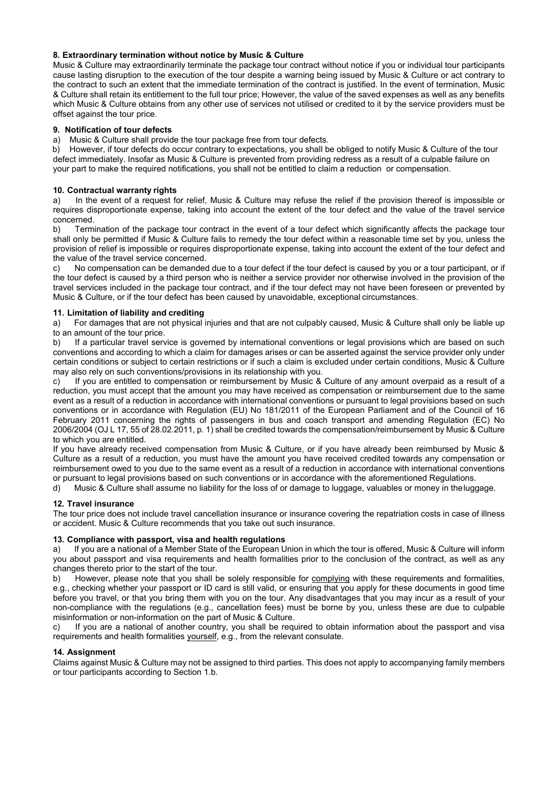## **8. Extraordinary termination without notice by Music & Culture**

Music & Culture may extraordinarily terminate the package tour contract without notice if you or individual tour participants cause lasting disruption to the execution of the tour despite a warning being issued by Music & Culture or act contrary to the contract to such an extent that the immediate termination of the contract is justified. In the event of termination, Music & Culture shall retain its entitlement to the full tour price; However, the value of the saved expenses as well as any benefits which Music & Culture obtains from any other use of services not utilised or credited to it by the service providers must be offset against the tour price.

#### **9. Notification of tour defects**

a) Music & Culture shall provide the tour package free from tour defects.

b) However, if tour defects do occur contrary to expectations, you shall be obliged to notify Music & Culture of the tour defect immediately. Insofar as Music & Culture is prevented from providing redress as a result of a culpable failure on your part to make the required notifications, you shall not be entitled to claim a reduction or compensation.

#### **10. Contractual warranty rights**

a) In the event of a request for relief, Music & Culture may refuse the relief if the provision thereof is impossible or requires disproportionate expense, taking into account the extent of the tour defect and the value of the travel service concerned.

b) Termination of the package tour contract in the event of a tour defect which significantly affects the package tour shall only be permitted if Music & Culture fails to remedy the tour defect within a reasonable time set by you, unless the provision of relief is impossible or requires disproportionate expense, taking into account the extent of the tour defect and the value of the travel service concerned.

c) No compensation can be demanded due to a tour defect if the tour defect is caused by you or a tour participant, or if the tour defect is caused by a third person who is neither a service provider nor otherwise involved in the provision of the travel services included in the package tour contract, and if the tour defect may not have been foreseen or prevented by Music & Culture, or if the tour defect has been caused by unavoidable, exceptional circumstances.

#### **11. Limitation of liability and crediting**

a) For damages that are not physical injuries and that are not culpably caused, Music & Culture shall only be liable up to an amount of the tour price.

b) If a particular travel service is governed by international conventions or legal provisions which are based on such conventions and according to which a claim for damages arises or can be asserted against the service provider only under certain conditions or subject to certain restrictions or if such a claim is excluded under certain conditions, Music & Culture may also rely on such conventions/provisions in its relationship with you.

c) If you are entitled to compensation or reimbursement by Music & Culture of any amount overpaid as a result of a reduction, you must accept that the amount you may have received as compensation or reimbursement due to the same event as a result of a reduction in accordance with international conventions or pursuant to legal provisions based on such conventions or in accordance with Regulation (EU) No 181/2011 of the European Parliament and of the Council of 16 February 2011 concerning the rights of passengers in bus and coach transport and amending Regulation (EC) No 2006/2004 (OJ L 17, 55 of 28.02.2011, p. 1) shall be credited towards the compensation/reimbursement by Music & Culture to which you are entitled.

If you have already received compensation from Music & Culture, or if you have already been reimbursed by Music & Culture as a result of a reduction, you must have the amount you have received credited towards any compensation or reimbursement owed to you due to the same event as a result of a reduction in accordance with international conventions or pursuant to legal provisions based on such conventions or in accordance with the aforementioned Regulations.

d) Music & Culture shall assume no liability for the loss of or damage to luggage, valuables or money in the luggage.

## **12. Travel insurance**

The tour price does not include travel cancellation insurance or insurance covering the repatriation costs in case of illness or accident. Music & Culture recommends that you take out such insurance.

#### **13. Compliance with passport, visa and health regulations**

If you are a national of a Member State of the European Union in which the tour is offered, Music & Culture will inform you about passport and visa requirements and health formalities prior to the conclusion of the contract, as well as any changes thereto prior to the start of the tour.

b) However, please note that you shall be solely responsible for complying with these requirements and formalities, e.g., checking whether your passport or ID card is still valid, or ensuring that you apply for these documents in good time before you travel, or that you bring them with you on the tour. Any disadvantages that you may incur as a result of your non-compliance with the regulations (e.g., cancellation fees) must be borne by you, unless these are due to culpable misinformation or non-information on the part of Music & Culture.

c) If you are a national of another country, you shall be required to obtain information about the passport and visa requirements and health formalities yourself, e.g., from the relevant consulate.

## **14. Assignment**

Claims against Music & Culture may not be assigned to third parties. This does not apply to accompanying family members or tour participants according to Section 1.b.